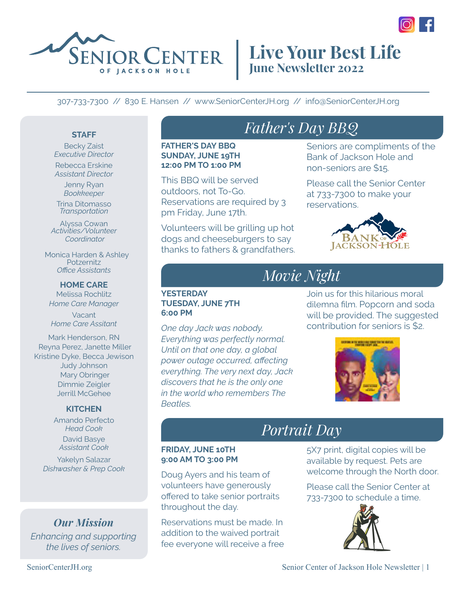

### **Live Your Best Life June Newsletter 2022**

#### 307-733-7300 // 830 E. Hansen // www.SeniorCenterJH.org // info@SeniorCenterJH.org

#### **STAFF**

Becky Zaist *Executive Director* Rebecca Erskine *Assistant Director*

Jenny Ryan *Bookkeeper*

Trina Ditomasso *Transportation*

Alyssa Cowan *Activities/Volunteer Coordinator*

 Monica Harden & Ashley **Potzernitz** *Office Assistants*

**HOME CARE** Melissa Rochlitz *Home Care Manager*

Vacant *Home Care Assitant*

Mark Henderson, RN Reyna Perez, Janette Miller Kristine Dyke, Becca Jewison Judy Johnson Mary Obringer Dimmie Zeigler Jerrill McGehee

#### **KITCHEN**

Amando Perfecto *Head Cook* David Basye *Assistant Cook*

Yakelyn Salazar *Dishwasher & Prep Cook*

### *Our Mission*

*Enhancing and supporting the lives of seniors.*

# *Father's Day BBQ*

**FATHER'S DAY BBQ SUNDAY, JUNE 19TH 12:00 PM TO 1:00 PM**

This BBQ will be served outdoors, not To-Go. Reservations are required by 3 pm Friday, June 17th.

Volunteers will be grilling up hot dogs and cheeseburgers to say thanks to fathers & grandfathers.

### Seniors are compliments of the Bank of Jackson Hole and

non-seniors are \$15. Please call the Senior Center

at 733-7300 to make your reservations.



Join us for this hilarious moral dilemna film. Popcorn and soda will be provided. The suggested contribution for seniors is \$2.

# *Movie Night*

#### **YESTERDAY TUESDAY, JUNE 7TH 6:00 PM**

*One day Jack was nobody. Everything was perfectly normal. Until on that one day, a global power outage occurred, affecting everything. The very next day, Jack discovers that he is the only one in the world who remembers The Beatles.* 



### *Portrait Day*

#### **FRIDAY, JUNE 10TH 9:00 AM TO 3:00 PM**

Doug Ayers and his team of volunteers have generously offered to take senior portraits throughout the day.

Reservations must be made. In addition to the waived portrait fee everyone will receive a free

5X7 print, digital copies will be available by request. Pets are welcome through the North door.

Please call the Senior Center at 733-7300 to schedule a time.

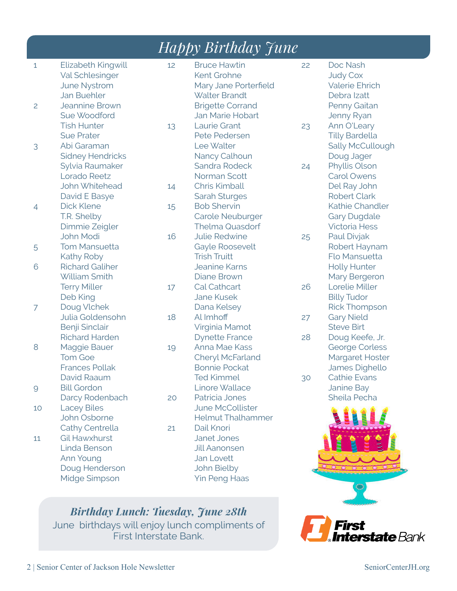|                |                                                                                                                             |    | <i>Happy Birthday June</i>                                                                                                         |          |                                                                                                      |
|----------------|-----------------------------------------------------------------------------------------------------------------------------|----|------------------------------------------------------------------------------------------------------------------------------------|----------|------------------------------------------------------------------------------------------------------|
| 1<br>2         | Elizabeth Kingwill<br><b>Val Schlesinger</b><br><b>June Nystrom</b><br><b>Jan Buehler</b><br>Jeannine Brown<br>Sue Woodford | 12 | <b>Bruce Hawtin</b><br>Kent Grohne<br>Mary Jane Porterfield<br><b>Walter Brandt</b><br><b>Brigette Corrand</b><br>Jan Marie Hobart | 22       | Doc Nash<br><b>Judy Cox</b><br><b>Valerie Ehrich</b><br>Debra Izatt<br>Penny Gaitan<br>Jenny Ryan    |
|                | <b>Tish Hunter</b><br><b>Sue Prater</b>                                                                                     | 13 | Laurie Grant<br>Pete Pedersen                                                                                                      | 23       | Ann O'Leary<br><b>Tilly Bardella</b>                                                                 |
| 3              | Abi Garaman<br><b>Sidney Hendricks</b><br>Sylvia Raumaker                                                                   |    | Lee Walter<br>Nancy Calhoun<br>Sandra Rodeck                                                                                       | 24       | Sally McCullough<br>Doug Jager<br>Phyllis Olson                                                      |
|                | Lorado Reetz<br>John Whitehead<br>David E Basye                                                                             | 14 | Norman Scott<br>Chris Kimball<br><b>Sarah Sturges</b>                                                                              |          | <b>Carol Owens</b><br>Del Ray John<br><b>Robert Clark</b>                                            |
| $\overline{4}$ | <b>Dick Klene</b><br>T.R. Shelby<br>Dimmie Zeigler                                                                          | 15 | <b>Bob Shervin</b><br>Carole Neuburger<br><b>Thelma Quasdorf</b>                                                                   |          | Kathie Chandler<br><b>Gary Dugdale</b><br><b>Victoria Hess</b>                                       |
| 5              | <b>John Modi</b><br><b>Tom Mansuetta</b>                                                                                    | 16 | <b>Julie Redwine</b><br>Gayle Roosevelt                                                                                            | 25       | Paul Divjak<br>Robert Haynam                                                                         |
| 6              | Kathy Roby<br><b>Richard Galiher</b><br>William Smith                                                                       |    | <b>Trish Truitt</b><br><b>Jeanine Karns</b><br>Diane Brown                                                                         |          | Flo Mansuetta<br><b>Holly Hunter</b><br>Mary Bergeron                                                |
| 7              | <b>Terry Miller</b><br>Deb King<br>Doug Vlchek                                                                              | 17 | Cal Cathcart<br><b>Jane Kusek</b><br>Dana Kelsey                                                                                   | 26       | Lorelie Miller<br><b>Billy Tudor</b><br><b>Rick Thompson</b>                                         |
|                | Julia Goldensohn<br>Benji Sinclair                                                                                          | 18 | Al Imhoff<br>Virginia Mamot                                                                                                        | 27       | <b>Gary Nield</b><br><b>Steve Birt</b>                                                               |
| 8              | <b>Richard Harden</b><br>Maggie Bauer<br><b>Tom Goe</b><br><b>Frances Pollak</b><br>David Raaum                             | 19 | <b>Dynette France</b><br>Anna Mae Kass<br>Cheryl McFarland<br><b>Bonnie Pockat</b><br><b>Ted Kimmel</b>                            | 28<br>30 | Doug Keefe, Jr.<br><b>George Corless</b><br>Margaret Hoster<br>James Dighello<br><b>Cathie Evans</b> |
| $\overline{9}$ | <b>Bill Gordon</b><br>Darcy Rodenbach                                                                                       | 20 | Linore Wallace<br>Patricia Jones                                                                                                   |          | Janine Bay<br>Sheila Pecha                                                                           |
| 10             | <b>Lacey Biles</b><br>John Osborne<br>Cathy Centrella                                                                       | 21 | <b>June McCollister</b><br><b>Helmut Thalhammer</b><br>Dail Knori                                                                  |          |                                                                                                      |
| 11             | <b>Gil Hawxhurst</b><br>Linda Benson<br>Ann Young<br>Doug Henderson<br>Midge Simpson                                        |    | <b>Janet Jones</b><br><b>Jill Aanonsen</b><br>Jan Lovett<br>John Bielby<br><b>Yin Peng Haas</b>                                    |          |                                                                                                      |

*Birthday Lunch: Tuesday, June 28th* June birthdays will enjoy lunch compliments of First Interstate Bank.

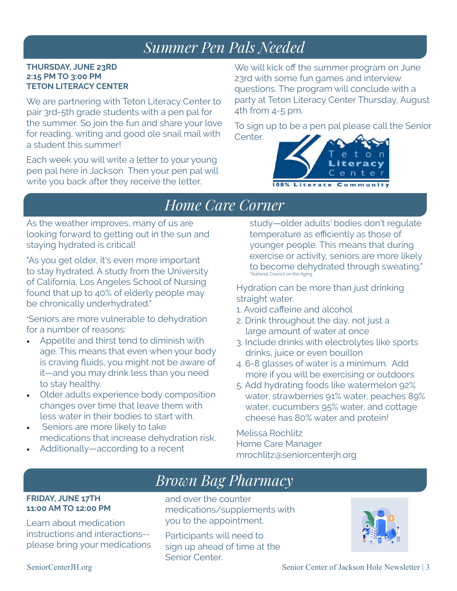### *Summer Pen Pals Needed*

#### **THURSDAY, JUNE 23RD 2:15 PM TO 3:00 PM TETON LITERACY CENTER**

We are partnering with Teton Literacy Center to pair 3rd-5th grade students with a pen pal for the summer. So join the fun and share your love for reading, writing and good ole snail mail with a student this summer!

Each week you will write a letter to your young pen pal here in Jackson Then your pen pal will write you back after they receive the letter.

We will kick off the summer program on June 23rd with some fun games and interview questions. The program will conclude with a party at Teton Literacy Center Thursday, August 4th from 4-5 pm.

To sign up to be a pen pal please call the Senior Center.



### *Home Care Corner*

As the weather improves, many of us are looking forward to getting out in the sun and staying hydrated is critical!

"As you get older, it's even more important to stay hydrated. A study from the University of California, Los Angeles School of Nursing found that up to 40% of elderly people may be chronically underhydrated."

"Seniors are more vulnerable to dehydration for a number of reasons:

- Appetite and thirst tend to diminish with age. This means that even when your body is craving fluids, you might not be aware of it—and you may drink less than you need to stay healthy.
- Older adults experience body composition changes over time that leave them with less water in their bodies to start with.
- Seniors are more likely to take medications that increase dehydration risk.
- Additionally—according to a recent

study—older adults' bodies don't regulate temperature as efficiently as those of younger people. This means that during exercise or activity, seniors are more likely to become dehydrated through sweating." \*National Council on the Aging

Hydration can be more than just drinking straight water.

- 1. Avoid caffeine and alcohol
- 2. Drink throughout the day, not just a large amount of water at once
- 3. Include drinks with electrolytes like sports drinks, juice or even bouillon
- 4. 6-8 glasses of water is a minimum. Add more if you will be exercising or outdoors
- 5. Add hydrating foods like watermelon 92% water, strawberries 91% water, peaches 89% water, cucumbers 95% water, and cottage cheese has 80% water and protein!

Melissa Rochlitz Home Care Manager mrochlitz@seniorcenterjh.org

# *Brown Bag Pharmacy*

#### **FRIDAY, JUNE 17TH 11:00 AM TO 12:00 PM**

Learn about medication instructions and interactions- please bring your medications

and over the counter medications/supplements with you to the appointment.

Participants will need to sign up ahead of time at the Senior Center.

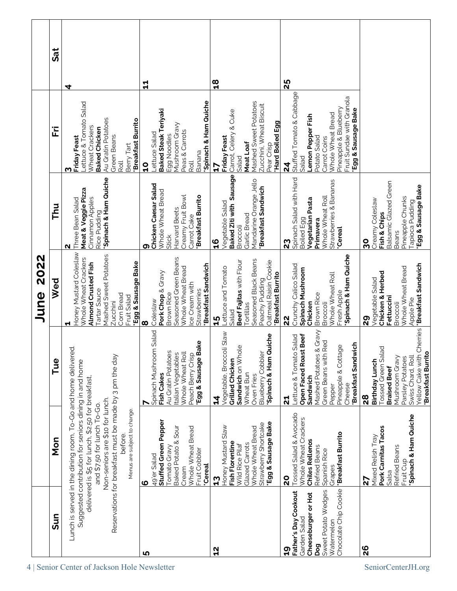|              | <b>JRS</b> | 4                                                                                                                                                                                                                                                                                                                                                  | 닠                                                                                                                                                            | $\frac{8}{10}$                                                                                                                                                               | 25                                                                                                                                                                                                      |                                                                                                                                                                                                |
|--------------|------------|----------------------------------------------------------------------------------------------------------------------------------------------------------------------------------------------------------------------------------------------------------------------------------------------------------------------------------------------------|--------------------------------------------------------------------------------------------------------------------------------------------------------------|------------------------------------------------------------------------------------------------------------------------------------------------------------------------------|---------------------------------------------------------------------------------------------------------------------------------------------------------------------------------------------------------|------------------------------------------------------------------------------------------------------------------------------------------------------------------------------------------------|
| 2022<br>June | ĪΪ         | Lettuce & Tomato Salad<br>Au Gratin Potatoes<br>"Breakfast Burrito<br>Wheat Crackers<br><b>Baked Chicken</b><br>Green Beans<br><b>Friday Feast</b><br>Berry Tart<br>Roll<br>ო                                                                                                                                                                      | 'Spinach & Ham Quiche<br><b>Baked Steak Teriyaki</b><br>Mushroom Gravy<br>Peas & Carrots<br>Lettuce Salad<br>Egg Noodles<br>Banana<br>Roll<br>៓              | Mashed Sweet Potatoes<br>Zucchini, Wheat Biscuit<br>Carrot, Celery & Cuke<br>Hard Boiled Egg<br><b>Friday Feast</b><br>Meat Loaf<br>Pear Crisp<br>Salad<br><b>ET</b>         | Stuffed Tomato & Cabbage<br>Fruit Sundae with Granola<br>Pineapple & Blueberry<br>Egg & Sausage Bake<br>Whole Wheat Bread<br>Lemon Pepper Fish<br>Potato Salad<br>Carrot Coins<br>Salad<br>$\mathbf{z}$ |                                                                                                                                                                                                |
|              | Thu        | 'Spinach & Ham Quiche<br>Meat & Veggie Pizza<br>Cinnamon Apples<br>Three Bean Salad<br>Rice Pudding<br>N                                                                                                                                                                                                                                           | Chicken Caesar Salad<br>Whole Wheat Bread<br>Creamy Fruit Bowl<br><b>Breakfast Burrito</b><br>Harvard Beets<br>Carrot Cake<br><b>Stick</b><br>თ              | Baked Ziti with Sausage<br>Mandarine Orange Jello<br><b>Breakfast Sandwich</b><br>Vegetable Salad<br>Garlic Bread<br>Broccoli<br>9 <sub>L</sub>                              | Spinach Salad with Hard<br>Strawberries & Bananas<br>Whole Wheat Roll<br>Vegetarian Pasta<br><b>Boiled Egg</b><br>Primavera<br><b>Cereal</b><br>23                                                      | Balsamic Glazed Green<br>Egg & Sausage Bake<br>Pineapple Chunks<br>Creamy Coleslaw<br><b>Tapioca Pudding</b><br>Fish & Chips<br><b>Beans</b><br>80                                             |
|              | Wed        | Honey Mustard Coleslaw<br>Mashed Sweet Potatoes<br>Whole Wheat Crackers<br>Egg & Sausage Bake<br>Almond Crusted Fish<br>Tartar Sauce<br>Com Bread<br>Fruit Salad<br>Zucchini<br>Ч                                                                                                                                                                  | Seasoned Green Beans<br>Breakfast Sandwich<br>Whole Wheat Bread<br>Pork Chop & Gravy<br>Ice Cream with<br>Strawberries<br>Brown Rice<br>Coleslaw<br>$\infty$ | Seasoned Black Beans<br>Beef Fajitas with Flour<br>Oatmeal Raisin Cookie<br>Lettuce and Tomato<br>"Breakfast Burrito<br>Peachy Pudding<br>Tortillas<br>Salad<br>15           | Spinach & Ham Quiche<br>Crunchy Calico Salad<br>Spinach Mushroom<br>Whole Wheat Roll<br>Fresh Apple<br>Brown Rice<br>Chicken<br>Broccoli<br>$\frac{2}{3}$                                               | Cherries Feakfast Sandwich<br>Whole Wheat Bread<br>Chicken & Herbed<br>Vegetable Salad<br>Fettuccini<br>Apple Pie<br>Broccoli<br>29                                                            |
|              | Tue        |                                                                                                                                                                                                                                                                                                                                                    | Spinach Mushroom Salad<br>Egg & Sausage Bake<br>Au Gratin Potatoes<br>Whole Wheat Roll<br>Italian Vegetables<br>Peach Berry Crisp<br>Fish Cakes              | Vegetable, Broccoli Slaw<br>Spinach & Ham Quiche<br>Sandwich on Whole<br><b>Blueberry Cobbler</b><br>Grilled Chicken<br>Wheat Bun<br>Oven Fries<br>$\mathbf{z}$              | & Gravy<br>Open Faced Roast Beef<br>Lettuce & Tomato Salad<br>Red<br>Breakfast Sandwich<br>Pineapple & Cottage<br>Mashed Potatoes<br>Green Beans with<br>Sandwich<br>Cheese<br>Pepper<br>24             | <b>Tossed Green Salad</b><br><b>Breakfast Burrito</b><br>Yellow Cake with<br>Mushroom Gravy<br>Parsley Potatoes<br>Swiss Chard, Roll<br>Birthday Lunch<br><b>Braised Beef</b><br>$\frac{8}{2}$ |
|              | Non        | Lunch is served in the dining room, To-Go and home delivered.<br>Reservations for breakfast must be made by 3 pm the day<br>Suggested contribution for seniors dining in and home<br>delivered is \$5 for lunch, \$2.50 for breakfast,<br>Non-seniors are \$10 for lunch.<br>and \$7.50 for lunch To-Go.<br>Menus are subject to change<br>before. | Stuffed Green Pepper<br>Baked Potato & Sour<br>Whole Wheat Bread<br>Tomato Gravy<br>Fruit Cobbler<br>49'er Salad<br><b>Cereal</b><br>Cream<br>ဖ              | Egg & Sausage Bake<br>Strawberry Shortcake<br>Honey Mustard Slaw<br>Whole Wheat Bread<br>Fish Florentine<br>Glazed Carrots<br>Wild Rice Pilaf<br>$\boldsymbol{\mathfrak{a}}$ | Tossed Salad & Avocado<br>Whole Wheat Crackers<br><b>Breakfast Burrito</b><br><b>Chiles Rellenos</b><br>Refried Beans<br>Spanish Rice<br>Grapes<br>$\overline{2}$                                       | Spinach & Ham Quiche<br>Pork Carnitas Tacos<br>Mixed Relish Tray<br>Refried Beans<br>Fruit Cup<br>Salsa<br>72                                                                                  |
|              | Sun        |                                                                                                                                                                                                                                                                                                                                                    | ഥ                                                                                                                                                            | $\frac{2}{1}$                                                                                                                                                                | Chocolate Chip Cookie<br>Sweet Potato Wedges<br>Father's Day Cookout<br>Cheeseburger or Hot<br>Garden Salad<br>Watermelon<br>pog<br>0T<br>1                                                             | 26                                                                                                                                                                                             |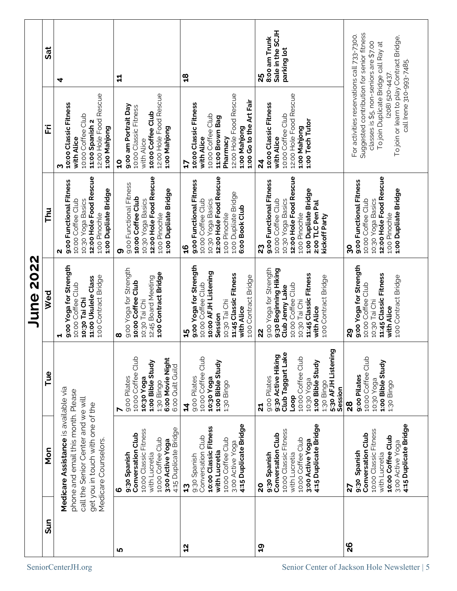|           | Sat        | 4                                                                                                                                                                            | 님                                                                                                                                                  | <u>임</u>                                                                                                                                                             | Sale in the SCJH<br>8:00 am Trunk<br>parking lot<br>25                                                                                                                          |                                                                                                                                                                                                                                                                        |
|-----------|------------|------------------------------------------------------------------------------------------------------------------------------------------------------------------------------|----------------------------------------------------------------------------------------------------------------------------------------------------|----------------------------------------------------------------------------------------------------------------------------------------------------------------------|---------------------------------------------------------------------------------------------------------------------------------------------------------------------------------|------------------------------------------------------------------------------------------------------------------------------------------------------------------------------------------------------------------------------------------------------------------------|
| June 2022 | 꾿          | 12:00 Hole Food Rescue<br>10:00 Classic Fitness<br>10:00 Coffee Club<br>11:00 Spanish 2<br>1:00 Mahjong<br>with Alice<br>ო                                                   | 12:00 Hole Food Rescue<br>9:00 am Portrait Day<br>10:00 Classic Fitness<br>10:00 Coffee Club<br>1:00 Mahjong<br>with Alice<br>$\overline{a}$       | 12:00 Hole Food Rescue<br>1:00 Go to the Art Fair<br>10:00 Classic Fitness<br>10:00 Coffee Club<br>11:00 Brown Bag<br>1:00 Mahjong<br>Pharmacy<br>with Alice<br>5    | 12:00 Hole Food Rescue<br>10:00 Classic Fitness<br>10:00 Coffee Club<br>1:00 Tech Tutor<br>1:00 Mahjong<br>with Alice<br>$\overline{\bf 2}$                                     | Suggested contribution for senior fitness<br>For activities reservations call 733-7300.<br>To join or learn to play Contract Bridge,<br>classes is \$5, non-seniors are \$7.00<br>To join Duplicate Bridge call Ray at<br>call Irene 310-993-7485.<br>$(208)$ 520-4437 |
|           | <b>Thu</b> | 12:00 Hole Food Rescue<br>9:00 Functional Fitness<br>1:00 Dupliate Bridge<br>10:30 Yoga Basics<br>10:00 Coffee Club<br>1:00 Pinochle<br>N                                    | 12:00 Hole Food Rescue<br>9:00 Functional Fitness<br>1:00 Dupliate Bridge<br>10:00 Coffee Club<br>10:30 Yoga Basics<br>1:00 Pinochle<br>თ          | 12:00 Hole Food Rescue<br>9:00 Functional Fitness<br>1:00 Dupliate Bridge<br>10:30 Yoga Basics<br>10:00 Coffee Club<br>6:00 Book Club<br>1:00 Pinochle<br>9t         | 12:00 Hole Food Rescue<br>9:00 Functional Fitness<br>1:00 Dupliate Bridge<br>10:30 Yoga Basics<br>10:00 Coffee Club<br>2:00 TLC Pen Pal<br>1:00 Pinochle<br>kickoff Party<br>23 | 12:00 Hole Food Rescue<br>9:00 Functional Fitness<br>1:00 Dupliate Bridge<br>10:30 Yoga Basics<br>10:00 Coffee Club<br>1:00 Pinochle<br>80                                                                                                                             |
|           | Wed        | 9:00 Yoga for Strength<br>1:00 Contract Bridge<br>11:00 Ukulele Class<br>10:00 Coffee Club<br>10:30 Tai Chi<br>ᆏ                                                             | 9:00 Yoga for Strength<br>1:00 Contract Bridge<br>12:45 Board Meeting<br>10:00 Coffee Club<br>10:30 Tai Chi<br>ထ                                   | 9:00 Yoga for Strength<br>10:00 AFJH Listening<br>11:45 Classic Fitness<br>1:00 Contract Bridge<br>10:00 Coffee Club<br>10:30 Tai Chi<br>with Alice<br>Session<br>45 | 9:00 Yoga for Strength<br>9:30 Beginning Hiking<br>11:45 Classic Fitness<br>1:00 Contract Bridge<br>10:00 Coffee Club<br>Club Jenny Lake<br>10:30 Tai Chi<br>with Alice<br>22   | 9:00 Yoga for Strength<br>11:45 Classic Fitness<br>1:00 Contract Bridge<br>10:00 Coffee Club<br>10:30 Tai Chi<br>with Alice<br>29                                                                                                                                      |
|           | Tue        |                                                                                                                                                                              | 10:00 Coffee Club<br>6:00 Movie Night<br>1:00 Bible Study<br>6:00 Quilt Guild<br>9:00 Pilates<br>10:30 Yoga<br>1:30 Bingo<br>N                     | Club<br>1:00 Bible Study<br>10:00 Coffee<br>9:00 Pilates<br>10:30 Yoga<br>1:30 Bingo<br>$\frac{4}{3}$                                                                | ত<br>Club Taggart Lake<br>9:30 Active Hiking<br>5:30 AFJH Listenin<br>10:00 Coffee Club<br>1:00 Bible Study<br>9:00 Pilates<br>10:30 Yoga<br>1:30 Bingo<br>Session<br>door<br>십 | Club<br>1:00 Bible Study<br>10:00 Coffee<br>9:00 Pilates<br>10:30 Yoga<br>1:30 Bingo<br>28                                                                                                                                                                             |
|           | Mon        | Medicare Assistance is available via<br>phone and email this month. Please<br>call the Senior Center and we will<br>get you in touch with one of the<br>Medicare Counselors. | 4:15 Duplicate Bridge<br>10:00 Classic Fitness<br>Conversation Club<br>10:00 Coffee Club<br>3:00 Active Yoga<br>with Lucretia<br>9:30 Spanish<br>ဖ | 4:15 Duplicate Bridge<br>10:00 Classic Fitness<br>Conversation Club<br>10:00 Coffee Club<br>3:00 Active Yoga<br>with Lucretia<br>9:30 Spanish<br>53                  | 4:15 Duplicate Bridge<br>10:00 Classic Fitness<br>Conversation Club<br>10:00 Coffee Club<br>3:00 Active Yoga<br>9:30 Spanish<br>with Lucretia<br>20                             | 4:15 Duplicate Bridge<br>10:00 Classic Fitness<br>Conversation Club<br>10:00 Coffee Club<br>3:00 Active Yoga<br>9:30 Spanish<br>with Lucretia<br>27                                                                                                                    |
|           | Sun        | SeniorCenterJH.org                                                                                                                                                           | <b>LO</b>                                                                                                                                          | 5                                                                                                                                                                    | <u>ဝှ</u>                                                                                                                                                                       | 26<br>Senior Center of Jackson Hole Newsletter   5                                                                                                                                                                                                                     |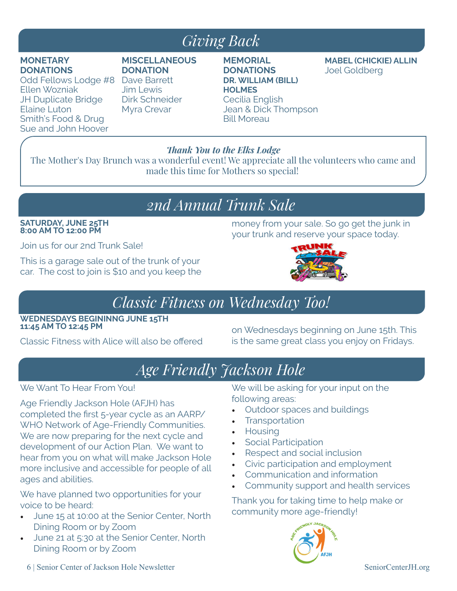### *Giving Back*

#### **MONETARY DONATIONS**

Odd Fellows Lodge #8 Dave Barrett Ellen Wozniak JH Duplicate Bridge Elaine Luton Smith's Food & Drug Sue and John Hoover

#### **MISCELLANEOUS DONATION**

Jim Lewis Dirk Schneider Myra Crevar

#### **MEMORIAL DONATIONS DR. WILLIAM (BILL) HOLMES** Cecilia English Jean & Dick Thompson Bill Moreau

**MABEL (CHICKIE) ALLIN** Joel Goldberg

#### *Thank You to the Elks Lodge*

The Mother's Day Brunch was a wonderful event! We appreciate all the volunteers who came and made this time for Mothers so special!

### *2nd Annual Trunk Sale*

#### **SATURDAY, JUNE 25TH 8:00 AM TO 12:00 PM**

Join us for our 2nd Trunk Sale!

This is a garage sale out of the trunk of your car. The cost to join is \$10 and you keep the



money from your sale. So go get the junk in

### *Classic Fitness on Wednesday Too!*

**WEDNESDAYS BEGININNG JUNE 15TH 11:45 AM TO 12:45 PM**

Classic Fitness with Alice will also be offered

on Wednesdays beginning on June 15th. This is the same great class you enjoy on Fridays.

# *Age Friendly Jackson Hole*

#### We Want To Hear From You!

Age Friendly Jackson Hole (AFJH) has completed the first 5-year cycle as an AARP/ WHO Network of Age-Friendly Communities. We are now preparing for the next cycle and development of our Action Plan. We want to hear from you on what will make Jackson Hole more inclusive and accessible for people of all ages and abilities.

We have planned two opportunities for your voice to be heard:

- June 15 at 10:00 at the Senior Center, North Dining Room or by Zoom
- June 21 at 5:30 at the Senior Center, North Dining Room or by Zoom

We will be asking for your input on the following areas:

- Outdoor spaces and buildings
- **Transportation**
- Housing
- Social Participation
- Respect and social inclusion
- Civic participation and employment
- Communication and information
- Community support and health services

Thank you for taking time to help make or community more age-friendly!

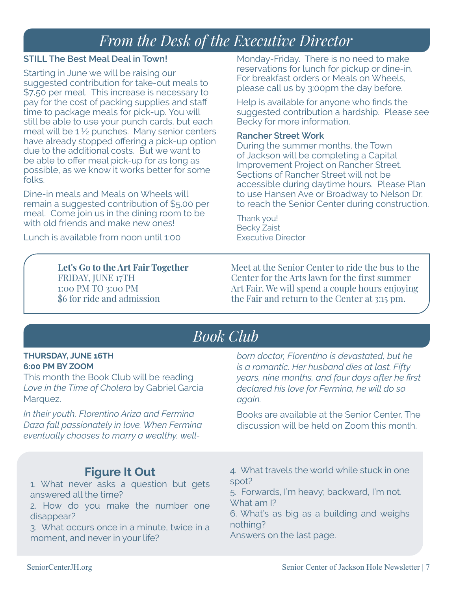### *From the Desk of the Executive Director*

#### **STILL The Best Meal Deal in Town!**

Starting in June we will be raising our suggested contribution for take-out meals to \$7**.**50 per meal. This increase is necessary to pay for the cost of packing supplies and staff time to package meals for pick-up. You will still be able to use your punch cards, but each meal will be 1 ½ punches. Many senior centers have already stopped offering a pick-up option due to the additional costs. But we want to be able to offer meal pick-up for as long as possible, as we know it works better for some folks.

Dine-in meals and Meals on Wheels will remain a suggested contribution of \$5.00 per meal. Come join us in the dining room to be with old friends and make new ones!

Lunch is available from noon until 1:00

Monday-Friday. There is no need to make reservations for lunch for pickup or dine-in. For breakfast orders or Meals on Wheels, please call us by 3:00pm the day before.

Help is available for anyone who finds the suggested contribution a hardship. Please see Becky for more information.

#### **Rancher Street Work**

During the summer months, the Town of Jackson will be completing a Capital Improvement Project on Rancher Street. Sections of Rancher Street will not be accessible during daytime hours. Please Plan to use Hansen Ave or Broadway to Nelson Dr. to reach the Senior Center during construction.

Thank you! Becky Zaist Executive Director

**Let's Go to the Art Fair Together** FRIDAY, JUNE 17TH 1:00 PM TO 3:00 PM \$6 for ride and admission

Meet at the Senior Center to ride the bus to the Center for the Arts lawn for the first summer Art Fair. We will spend a couple hours enjoying the Fair and return to the Center at 3:15 pm.

### *Book Club*

#### **THURSDAY, JUNE 16TH 6:00 PM BY ZOOM**

This month the Book Club will be reading *Love in the Time of Cholera* by Gabriel Garcia Marquez.

*In their youth, Florentino Ariza and Fermina Daza fall passionately in love. When Fermina eventually chooses to marry a wealthy, well-* *born doctor, Florentino is devastated, but he is a romantic. Her husband dies at last. Fifty years, nine months, and four days after he first declared his love for Fermina, he will do so again.*

Books are available at the Senior Center. The discussion will be held on Zoom this month.

### **Figure It Out**

1. What never asks a question but gets answered all the time?

2. How do you make the number one disappear?

3. What occurs once in a minute, twice in a moment, and never in your life?

4. What travels the world while stuck in one spot?

5. Forwards, I'm heavy; backward, I'm not. What am I?

6. What's as big as a building and weighs nothing?

Answers on the last page.